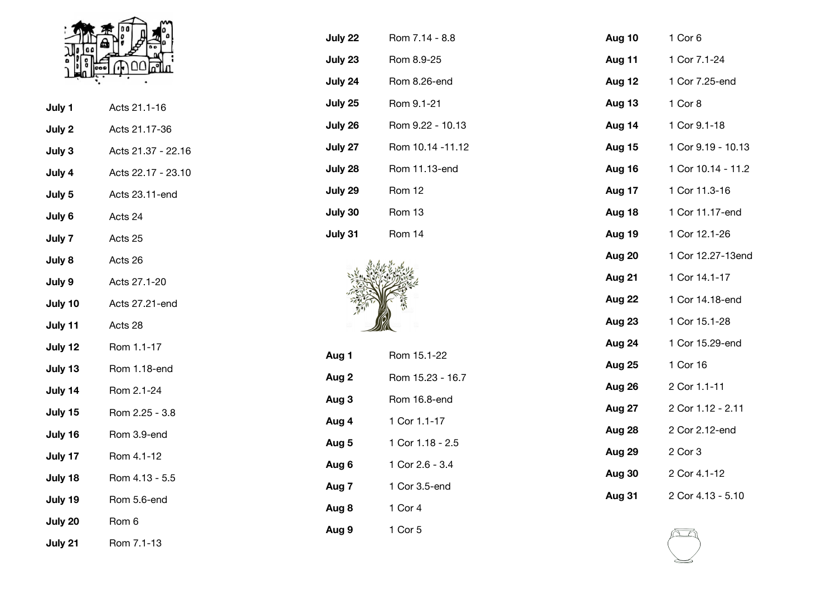

| July 1  | Acts 21.1-16       |
|---------|--------------------|
| July 2  | Acts 21.17-36      |
| July 3  | Acts 21.37 - 22.16 |
| July 4  | Acts 22.17 - 23.10 |
| July 5  | Acts 23.11-end     |
| July 6  | Acts 24            |
| July 7  | Acts 25            |
| July 8  | Acts 26            |
| July 9  | Acts 27.1-20       |
| July 10 | Acts 27.21-end     |
| July 11 | Acts 28            |
| July 12 | Rom 1.1-17         |
| July 13 | Rom 1.18-end       |
| July 14 | Rom 2.1-24         |
| July 15 | Rom 2.25 - 3.8     |
| July 16 | Rom 3.9-end        |
| July 17 | Rom 4.1-12         |
| July 18 | Rom 4.13 - 5.5     |
| July 19 | Rom 5.6-end        |
| July 20 | Rom 6              |
|         |                    |

| July 21 | Rom 7.1-13 |  |
|---------|------------|--|
|         |            |  |

| July 22 | Rom 7.14 - 8.8   |
|---------|------------------|
| July 23 | Rom 8.9-25       |
| July 24 | Rom 8.26-end     |
| July 25 | Rom 9.1-21       |
| July 26 | Rom 9.22 - 10.13 |
| July 27 | Rom 10.14 -11.12 |
| July 28 | Rom 11.13-end    |
| July 29 | <b>Rom 12</b>    |
| July 30 | Rom 13           |
| July 31 | Rom 14           |



| Aug 1 | Rom 15.1-22      |
|-------|------------------|
| Aug 2 | Rom 15.23 - 16.7 |
| Aug 3 | Rom 16.8-end     |
| Aug 4 | 1 Cor 1.1-17     |
| Aug 5 | 1 Cor 1.18 - 2.5 |
| Aug 6 | 1 Cor 2.6 - 3.4  |
| Aug 7 | 1 Cor 3.5-end    |
| Aug 8 | 1 Cor 4          |
| Aug 9 | 1 Cor 5          |

| Aug 10        | 1 Cor 6            |
|---------------|--------------------|
| Aug 11        | 1 Cor 7.1-24       |
| Aug 12        | 1 Cor 7.25-end     |
| <b>Aug 13</b> | 1 Cor 8            |
| Aug 14        | 1 Cor 9.1-18       |
| Aug 15        | 1 Cor 9.19 - 10.13 |
| Aug 16        | 1 Cor 10.14 - 11.2 |
| Aug 17        | 1 Cor 11.3-16      |
| Aug 18        | 1 Cor 11.17-end    |
| Aug 19        | 1 Cor 12.1-26      |
| Aug 20        | 1 Cor 12.27-13end  |
| Aug 21        | 1 Cor 14.1-17      |
| Aug 22        | 1 Cor 14.18-end    |
| Aug 23        | 1 Cor 15.1-28      |
| Aug 24        | 1 Cor 15.29-end    |
| <b>Aug 25</b> | 1 Cor 16           |
| Aug 26        | 2 Cor 1.1-11       |
| Aug 27        | 2 Cor 1.12 - 2.11  |
| Aug 28        | 2 Cor 2.12-end     |
| Aug 29        | 2 Cor 3            |
| Aug 30        | 2 Cor 4.1-12       |
| Aug 31        | 2 Cor 4.13 - 5.10  |